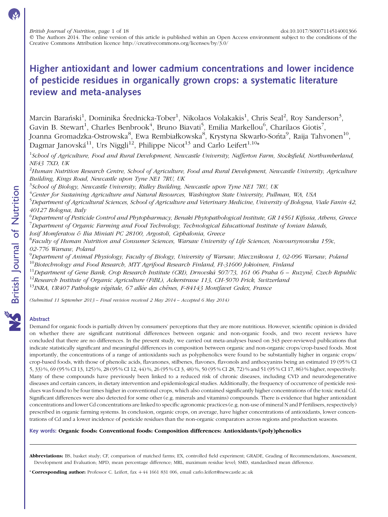q The Authors 2014. The online version of this article is published within an Open Access environment subject to the conditions of the Creative Commons Attribution licence http://creativecommons.org/licenses/by/3.0/

# Higher antioxidant and lower cadmium concentrations and lower incidence of pesticide residues in organically grown crops: a systematic literature review and meta-analyses

Marcin Barański<sup>1</sup>, Dominika Średnicka-Tober<sup>1</sup>, Nikolaos Volakakis<sup>1</sup>, Chris Seal<sup>2</sup>, Roy Sanderson<sup>3</sup>, Gavin B. Stewart<sup>1</sup>, Charles Benbrook<sup>4</sup>, Bruno Biavati<sup>5</sup>, Emilia Markellou<sup>6</sup>, Charilaos Giotis<sup>7</sup>, Joanna Gromadzka-Ostrowska $^8$ , Ewa Rembiałkowska $^8$ , Krystyna Skwarło-Sońta $^9$ , Raija Tahvonen $^{10},$ Dagmar Janovská<sup>11</sup>, Urs Niggli<sup>12</sup>, Philippe Nicot<sup>13</sup> and Carlo Leifert<sup>1,10\*</sup>

<sup>1</sup>School of Agriculture, Food and Rural Development, Newcastle University, Nafferton Farm, Stocksfield, Northumberland, NE43 7XD, UK

 $^2$ Human Nutrition Research Centre, School of Agriculture, Food and Rural Development, Newcastle University, Agriculture Building, Kings Road, Newcastle upon Tyne NE1 7RU, UK

<sup>3</sup>School of Biology, Newcastle University, Ridley Building, Newcastle upon Tyne NE1 7RU, UK

<sup>4</sup>Center for Sustaining Agriculture and Natural Resources, Washington State University, Pullman, WA, USA

<sup>5</sup>Department of Agricultural Sciences, School of Agriculture and Veterinary Medicine, University of Bologna, Viale Fanin 42, 40127 Bologna, Italy

<sup>6</sup>Department of Pesticide Control and Phytopharmacy, Benaki Phytopathological Institute, GR 14561 Kifissia, Athens, Greece  $^7$ Department of Organic Farming and Food Technology, Technological Educational Institute of Ionian Islands, Iosif Momferatou & Ilia Miniati PC 28100, Argostoli, Cephalonia, Greece

<sup>8</sup>Faculty of Human Nutrition and Consumer Sciences, Warsaw University of Life Sciences, Nowoursynowska 159c, 02-776 Warsaw, Poland

9 Department of Animal Physiology, Faculty of Biology, University of Warsaw, Miecznikowa 1, 02-096 Warsaw, Poland

 $^{10}$ Biotechnology and Food Research, MTT Agrifood Research Finland, FI-31600 Jokioinen, Finland

 $11$ Department of Gene Bank, Crop Research Institute (CRI), Drnovská 507/73, 161 06 Praha 6 – Ruzyně, Czech Republic

 $12$ Research Institute of Organic Agriculture (FiBL), Ackerstrasse 113, CH-5070 Frick, Switzerland

 $13$ INRA, UR407 Pathologie végétale, 67 allée des chênes, F-84143 Montfavet Cedex, France

(Submitted 11 September 2013 – Final revision received 2 May 2014 – Accepted 6 May 2014)

# Abstract

Demand for organic foods is partially driven by consumers' perceptions that they are more nutritious. However, scientific opinion is divided on whether there are significant nutritional differences between organic and non-organic foods, and two recent reviews have concluded that there are no differences. In the present study, we carried out meta-analyses based on 343 peer-reviewed publications that indicate statistically significant and meaningful differences in composition between organic and non-organic crops/crop-based foods. Most importantly, the concentrations of a range of antioxidants such as polyphenolics were found to be substantially higher in organic crops/ crop-based foods, with those of phenolic acids, flavanones, stilbenes, flavones, flavonols and anthocyanins being an estimated 19 (95 % CI 5, 33) %, 69 (95 % CI 13, 125) %, 28 (95 % CI 12, 44) %, 26 (95 % CI 3, 48) %, 50 (95 % CI 28, 72) % and 51 (95 % CI 17, 86) % higher, respectively. Many of these compounds have previously been linked to a reduced risk of chronic diseases, including CVD and neurodegenerative diseases and certain cancers, in dietary intervention and epidemiological studies. Additionally, the frequency of occurrence of pesticide residues was found to be four times higher in conventional crops, which also contained significantly higher concentrations of the toxic metal Cd. Significant differences were also detected for some other (e.g. minerals and vitamins) compounds. There is evidence that higher antioxidant concentrations and lower Cd concentrations are linked to specific agronomic practices (e.g. non-use of mineral N and P fertilisers, respectively) prescribed in organic farming systems. In conclusion, organic crops, on average, have higher concentrations of antioxidants, lower concentrations of Cd and a lower incidence of pesticide residues than the non-organic comparators across regions and production seasons.

# Key words: Organic foods: Conventional foods: Composition differences: Antioxidants/(poly)phenolics

Abbreviations: BS, basket study; CF, comparison of matched farms; EX, controlled field experiment; GRADE, Grading of Recommendations, Assessment, Development and Evaluation; MPD, mean percentage difference; MRL, maximum residue level; SMD, standardised mean difference.

\* Corresponding author: Professor C. Leifert, fax +44 1661 831 006, email carlo.leifert@newcastle.ac.uk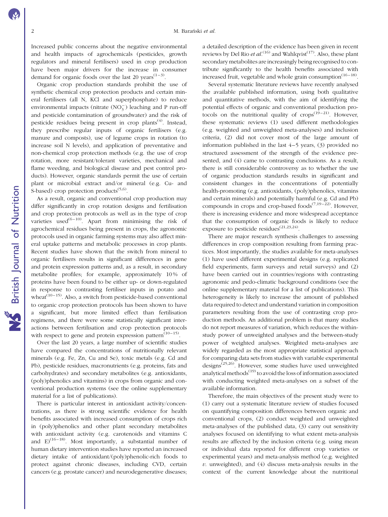Increased public concerns about the negative environmental and health impacts of agrochemicals (pesticides, growth regulators and mineral fertilisers) used in crop production have been major drivers for the increase in consumer demand for organic foods over the last 20 years<sup> $(1-3)$ </sup>.

Organic crop production standards prohibit the use of synthetic chemical crop protection products and certain mineral fertilisers (all N, KCl and superphosphate) to reduce environmental impacts (nitrate  $(NO<sub>3</sub><sup>-</sup>)$  leaching and P run-off and pesticide contamination of groundwater) and the risk of pesticide residues being present in crop plants<sup> $(4)$ </sup>. Instead, they prescribe regular inputs of organic fertilisers (e.g. manure and composts), use of legume crops in rotation (to increase soil N levels), and application of preventative and non-chemical crop protection methods (e.g. the use of crop rotation, more resistant/tolerant varieties, mechanical and flame weeding, and biological disease and pest control products). However, organic standards permit the use of certain plant or microbial extract and/or mineral (e.g. Cu- and S-based) crop protection products<sup> $(5,6)$ </sup>.

As a result, organic and conventional crop production may differ significantly in crop rotation designs and fertilisation and crop protection protocols as well as in the type of crop varieties used<sup>(6–10)</sup>. Apart from minimising the risk of agrochemical residues being present in crops, the agronomic protocols used in organic farming systems may also affect mineral uptake patterns and metabolic processes in crop plants. Recent studies have shown that the switch from mineral to organic fertilisers results in significant differences in gene and protein expression patterns and, as a result, in secondary metabolite profiles; for example, approximately 10 % of proteins have been found to be either up- or down-regulated in response to contrasting fertiliser inputs in potato and wheat $(10-15)$ . Also, a switch from pesticide-based conventional to organic crop protection protocols has been shown to have a significant, but more limited effect than fertilisation regimens, and there were some statistically significant interactions between fertilisation and crop protection protocols with respect to gene and protein expression pattern<sup> $(10-15)$ </sup>.

Over the last 20 years, a large number of scientific studies have compared the concentrations of nutritionally relevant minerals (e.g. Fe, Zn, Cu and Se), toxic metals (e.g. Cd and Pb), pesticide residues, macronutrients (e.g. proteins, fats and carbohydrates) and secondary metabolites (e.g. antioxidants, (poly)phenolics and vitamins) in crops from organic and conventional production systems (see the online supplementary material for a list of publications).

There is particular interest in antioxidant activity/concentrations, as there is strong scientific evidence for health benefits associated with increased consumption of crops rich in (poly)phenolics and other plant secondary metabolites with antioxidant activity (e.g. carotenoids and vitamins C and  $E^{(16-18)}$ . Most importantly, a substantial number of human dietary intervention studies have reported an increased dietary intake of antioxidant/(poly)phenolic-rich foods to protect against chronic diseases, including CVD, certain cancers (e.g. prostate cancer) and neurodegenerative diseases;

a detailed description of the evidence has been given in recent reviews by Del Rio *et al.*<sup>(16)</sup> and Wahlqvist<sup>(17)</sup>. Also, these plant secondary metabolites are increasingly being recognised to contribute significantly to the health benefits associated with increased fruit, vegetable and whole grain consumption $(16-18)$ .

Several systematic literature reviews have recently analysed the available published information, using both qualitative and quantitative methods, with the aim of identifying the potential effects of organic and conventional production protocols on the nutritional quality of  $\text{crops}^{(19-21)}$ . However, these systematic reviews (1) used different methodologies (e.g. weighted and unweighted meta-analyses) and inclusion criteria, (2) did not cover most of the large amount of information published in the last 4–5 years, (3) provided no structured assessment of the strength of the evidence presented, and (4) came to contrasting conclusions. As a result, there is still considerable controversy as to whether the use of organic production standards results in significant and consistent changes in the concentrations of potentially health-promoting (e.g. antioxidants, (poly)phenolics, vitamins and certain minerals) and potentially harmful (e.g. Cd and Pb) compounds in crops and crop-based foods<sup> $(7,19-22)$ </sup>. However, there is increasing evidence and more widespread acceptance that the consumption of organic foods is likely to reduce exposure to pesticide residues<sup>(21,23,24)</sup>.

There are major research synthesis challenges to assessing differences in crop composition resulting from farming practices. Most importantly, the studies available for meta-analyses (1) have used different experimental designs (e.g. replicated field experiments, farm surveys and retail surveys) and (2) have been carried out in countries/regions with contrasting agronomic and pedo-climatic background conditions (see the online supplementary material for a list of publications). This heterogeneity is likely to increase the amount of published data required to detect and understand variation in composition parameters resulting from the use of contrasting crop production methods. An additional problem is that many studies do not report measures of variation, which reduces the withinstudy power of unweighted analyses and the between-study power of weighted analyses. Weighted meta-analyses are widely regarded as the most appropriate statistical approach for comparing data sets from studies with variable experimental designs(25,26). However, some studies have used unweighted analytical methods $^{(19)}$  to avoid the loss of information associated with conducting weighted meta-analyses on a subset of the available information.

Therefore, the main objectives of the present study were to (1) carry out a systematic literature review of studies focused on quantifying composition differences between organic and conventional crops, (2) conduct weighted and unweighted meta-analyses of the published data, (3) carry out sensitivity analyses focused on identifying to what extent meta-analysis results are affected by the inclusion criteria (e.g. using mean or individual data reported for different crop varieties or experimental years) and meta-analysis method (e.g. weighted  $v$ . unweighted), and  $(4)$  discuss meta-analysis results in the context of the current knowledge about the nutritional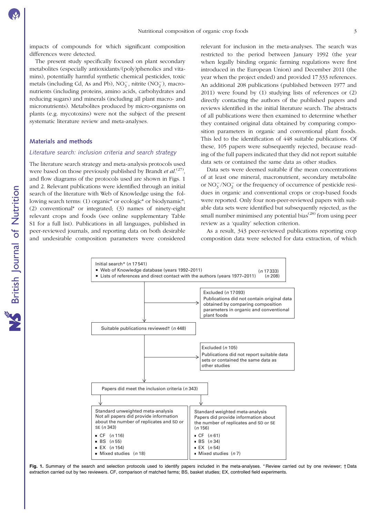impacts of compounds for which significant composition differences were detected.

The present study specifically focused on plant secondary metabolites (especially antioxidants/(poly)phenolics and vitamins), potentially harmful synthetic chemical pesticides, toxic metals (including Cd, As and Pb),  $NO_3^-$ , nitrite  $(NO_2^-)$ , macronutrients (including proteins, amino acids, carbohydrates and reducing sugars) and minerals (including all plant macro- and micronutrients). Metabolites produced by micro-organisms on plants (e.g. mycotoxins) were not the subject of the present systematic literature review and meta-analyses.

# Materials and methods

# Literature search: inclusion criteria and search strategy

The literature search strategy and meta-analysis protocols used were based on those previously published by Brandt et  $al$ .<sup>(27)</sup>, and flow diagrams of the protocols used are shown in Figs. 1 and 2. Relevant publications were identified through an initial search of the literature with Web of Knowledge using the following search terms: (1) organic\* or ecologic\* or biodynamic\*; (2) conventional\* or integrated; (3) names of ninety-eight relevant crops and foods (see online supplementary Table S1 for a full list). Publications in all languages, published in peer-reviewed journals, and reporting data on both desirable and undesirable composition parameters were considered

relevant for inclusion in the meta-analyses. The search was restricted to the period between January 1992 (the year when legally binding organic farming regulations were first introduced in the European Union) and December 2011 (the year when the project ended) and provided 17 333 references. An additional 208 publications (published between 1977 and 2011) were found by (1) studying lists of references or (2) directly contacting the authors of the published papers and reviews identified in the initial literature search. The abstracts of all publications were then examined to determine whether they contained original data obtained by comparing composition parameters in organic and conventional plant foods. This led to the identification of 448 suitable publications. Of these, 105 papers were subsequently rejected, because reading of the full papers indicated that they did not report suitable data sets or contained the same data as other studies.

Data sets were deemed suitable if the mean concentrations of at least one mineral, macronutrient, secondary metabolite or  $NO_3^-/NO_2^-$  or the frequency of occurrence of pesticide residues in organic and conventional crops or crop-based foods were reported. Only four non-peer-reviewed papers with suitable data sets were identified but subsequently rejected, as the small number minimised any potential bias<sup> $(28)$ </sup> from using peer review as a 'quality' selection criterion.

As a result, 343 peer-reviewed publications reporting crop composition data were selected for data extraction, of which



Fig. 1. Summary of the search and selection protocols used to identify papers included in the meta-analyses. \* Review carried out by one reviewer; † Data extraction carried out by two reviewers. CF, comparison of matched farms; BS, basket studies; EX, controlled field experiments.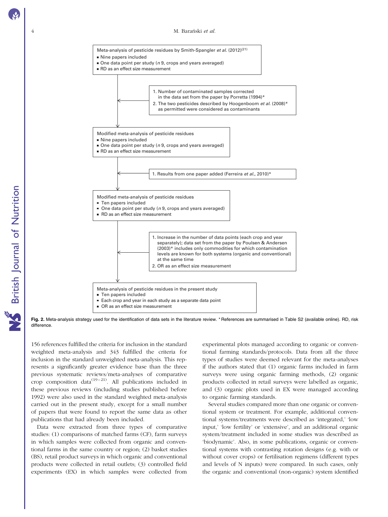#### 4 M. Barański *et al.*





Fig. 2. Meta-analysis strategy used for the identification of data sets in the literature review. \* References are summarised in Table S2 (available online). RD, risk difference

156 references fulfilled the criteria for inclusion in the standard weighted meta-analysis and 343 fulfilled the criteria for inclusion in the standard unweighted meta-analysis. This represents a significantly greater evidence base than the three previous systematic reviews/meta-analyses of comparative crop composition data $(19-21)$ . All publications included in these previous reviews (including studies published before 1992) were also used in the standard weighted meta-analysis carried out in the present study, except for a small number of papers that were found to report the same data as other publications that had already been included.

Data were extracted from three types of comparative studies: (1) comparisons of matched farms (CF), farm surveys in which samples were collected from organic and conventional farms in the same country or region; (2) basket studies (BS), retail product surveys in which organic and conventional products were collected in retail outlets; (3) controlled field experiments (EX) in which samples were collected from

experimental plots managed according to organic or conventional farming standards/protocols. Data from all the three types of studies were deemed relevant for the meta-analyses if the authors stated that (1) organic farms included in farm surveys were using organic farming methods, (2) organic products collected in retail surveys were labelled as organic, and (3) organic plots used in EX were managed according to organic farming standards.

Several studies compared more than one organic or conventional system or treatment. For example, additional conventional systems/treatments were described as 'integrated,' 'low input,' 'low fertility' or 'extensive', and an additional organic system/treatment included in some studies was described as 'biodynamic'. Also, in some publications, organic or conventional systems with contrasting rotation designs (e.g. with or without cover crops) or fertilisation regimens (different types and levels of N inputs) were compared. In such cases, only the organic and conventional (non-organic) system identified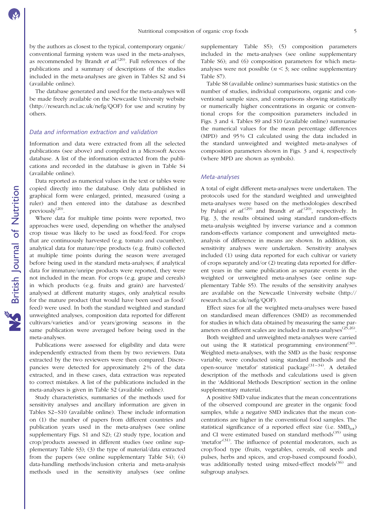by the authors as closest to the typical, contemporary organic/ conventional farming system was used in the meta-analyses, as recommended by Brandt et  $al^{(20)}$ . Full references of the publications and a summary of descriptions of the studies included in the meta-analyses are given in Tables S2 and S4 (available online).

The database generated and used for the meta-analyses will be made freely available on the Newcastle University website (http://research.ncl.ac.uk/nefg/QOF) for use and scrutiny by others.

#### Data and information extraction and validation

Information and data were extracted from all the selected publications (see above) and compiled in a Microsoft Access database. A list of the information extracted from the publications and recorded in the database is given in Table S4 (available online).

Data reported as numerical values in the text or tables were copied directly into the database. Only data published in graphical form were enlarged, printed, measured (using a ruler) and then entered into the database as described previously $^{(20)}$ .

Where data for multiple time points were reported, two approaches were used, depending on whether the analysed crop tissue was likely to be used as food/feed. For crops that are continuously harvested (e.g. tomato and cucumber), analytical data for mature/ripe products (e.g. fruits) collected at multiple time points during the season were averaged before being used in the standard meta-analyses; if analytical data for immature/unripe products were reported, they were not included in the mean. For crops (e.g. grape and cereals) in which products (e.g. fruits and grain) are harvested/ analysed at different maturity stages, only analytical results for the mature product (that would have been used as food/ feed) were used. In both the standard weighted and standard unweighted analyses, composition data reported for different cultivars/varieties and/or years/growing seasons in the same publication were averaged before being used in the meta-analyses.

Publications were assessed for eligibility and data were independently extracted from them by two reviewers. Data extracted by the two reviewers were then compared. Discrepancies were detected for approximately 2% of the data extracted, and in these cases, data extraction was repeated to correct mistakes. A list of the publications included in the meta-analyses is given in Table S2 (available online).

Study characteristics, summaries of the methods used for sensitivity analyses and ancillary information are given in Tables S2–S10 (available online). These include information on (1) the number of papers from different countries and publication years used in the meta-analyses (see online supplementary Figs. S1 and S2); (2) study type, location and crop/products assessed in different studies (see online supplementary Table S3); (3) the type of material/data extracted from the papers (see online supplementary Table S4); (4) data-handling methods/inclusion criteria and meta-analysis methods used in the sensitivity analyses (see online

supplementary Table S5); (5) composition parameters included in the meta-analyses (see online supplementary Table S6); and (6) composition parameters for which metaanalyses were not possible ( $n < 3$ ; see online supplementary Table S7).

Table S8 (available online) summarises basic statistics on the number of studies, individual comparisons, organic and conventional sample sizes, and comparisons showing statistically or numerically higher concentrations in organic or conventional crops for the composition parameters included in [Figs. 3 and 4.](#page-5-0) Tables S9 and S10 (available online) summarise the numerical values for the mean percentage differences (MPD) and 95 % CI calculated using the data included in the standard unweighted and weighted meta-analyses of composition parameters shown in [Figs. 3 and 4](#page-5-0), respectively (where MPD are shown as symbols).

#### Meta-analyses

A total of eight different meta-analyses were undertaken. The protocols used for the standard weighted and unweighted meta-analyses were based on the methodologies described by Palupi et  $al^{(29)}$  and Brandt et  $al^{(20)}$ , respectively. In [Fig. 3](#page-5-0), the results obtained using standard random-effects meta-analysis weighted by inverse variance and a common random-effects variance component and unweighted metaanalysis of difference in means are shown. In addition, six sensitivity analyses were undertaken. Sensitivity analyses included (1) using data reported for each cultivar or variety of crops separately and/or (2) treating data reported for different years in the same publication as separate events in the weighted or unweighted meta-analyses (see online supplementary Table S5). The results of the sensitivity analyses are available on the Newcastle University website (http:// research.ncl.ac.uk/nefg/QOF).

Effect sizes for all the weighted meta-analyses were based on standardised mean differences (SMD) as recommended for studies in which data obtained by measuring the same parameters on different scales are included in meta-analyses<sup> $(25,26)$ </sup>.

Both weighted and unweighted meta-analyses were carried out using the R statistical programming environment<sup>(30)</sup>. Weighted meta-analyses, with the SMD as the basic response variable, were conducted using standard methods and the open-source 'metafor' statistical package<sup>(31–34)</sup>. A detailed description of the methods and calculations used is given in the 'Additional Methods Description' section in the online supplementary material.

A positive SMD value indicates that the mean concentrations of the observed compound are greater in the organic food samples, while a negative SMD indicates that the mean concentrations are higher in the conventional food samples. The statistical significance of a reported effect size (i.e.  $SMD_{tot}$ ) and CI were estimated based on standard methods<sup> $(35)$ </sup> using 'metafor<sup>(31)</sup>. The influence of potential moderators, such as crop/food type (fruits, vegetables, cereals, oil seeds and pulses, herbs and spices, and crop-based compound foods), was additionally tested using mixed-effect models<sup>(36)</sup> and subgroup analyses.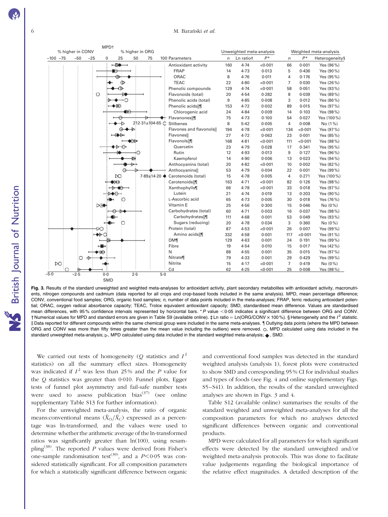<span id="page-5-0"></span>



**NS** British Journal of Nutrition British Journal of Nutrition

Fig. 3. Results of the standard unweighted and weighted meta-analyses for antioxidant activity, plant secondary metabolites with antioxidant activity, macronutrients, nitrogen compounds and cadmium (data reported for all crops and crop-based foods included in the same analysis). MPD, mean percentage difference; CONV, conventional food samples; ORG, organic food samples; n, number of data points included in the meta-analyses; FRAP, ferric reducing antioxidant potential; ORAC, oxygen radical absorbance capacity; TEAC, Trolox equivalent antioxidant capacity; SMD, standardised mean difference. Values are standardised mean differences, with 95% confidence intervals represented by horizontal bars. \* P value <0.05 indicates a significant difference between ORG and CONV.  $\dagger$  Numerical values for MPD and standard errors are given in Table S9 (available online).  $\pm$  Ln ratio = Ln(ORG/CONV  $\times$  100 %). § Heterogeneity and the  $l^2$  statistic. || Data reported for different compounds within the same chemical group were included in the same meta-analyses. "| Outlying data points (where the MPD between ORG and CONV was more than fifty times greater than the mean value including the outliers) were removed. O, MPD calculated using data included in the standard unweighted meta-analysis;  $\triangleright$ . MPD calculated using data included in the standard weighted meta-analysis;  $\triangle$ , SMD.

We carried out tests of homogeneity (Q statistics and  $I^2$ statistics) on all the summary effect sizes. Homogeneity was indicated if  $I^2$  was less than 25% and the P value for the Q statistics was greater than 0·010. Funnel plots, Egger tests of funnel plot asymmetry and fail-safe number tests were used to assess publication bias<sup> $(37)$ </sup> (see online supplementary Table S13 for further information).

For the unweighted meta-analysis, the ratio of organic means: conventional means  $(\bar{X}_{\rm O}/\bar{X}_{\rm C})$  expressed as a percentage was ln-transformed, and the values were used to determine whether the arithmetic average of the ln-transformed ratios was significantly greater than ln(100), using resampling<sup>(38)</sup>. The reported P values were derived from Fisher's one-sample randomisation test<sup>(39)</sup>, and a  $P < 0.05$  was considered statistically significant. For all composition parameters for which a statistically significant difference between organic

and conventional food samples was detected in the standard weighted analysis (analysis 1), forest plots were constructed to show SMD and corresponding 95 % CI for individual studies and types of foods (see [Fig. 4](#page-6-0) and online supplementary Figs. S5–S41). In addition, the results of the standard unweighted analyses are shown in Figs. 3 and 4.

Table S12 (available online) summarises the results of the standard weighted and unweighted meta-analyses for all the composition parameters for which no analyses detected significant differences between organic and conventional products.

MPD were calculated for all parameters for which significant effects were detected by the standard unweighted and/or weighted meta-analysis protocols. This was done to facilitate value judgements regarding the biological importance of the relative effect magnitudes. A detailed description of the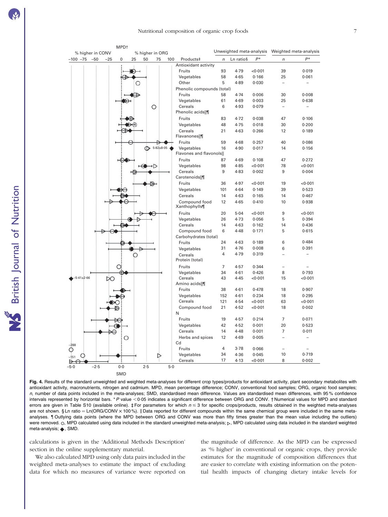<span id="page-6-0"></span>

| % higher in CONV |       |       |   |    | % higher in ORG        |     |                            |                |           |         | Unweighted meta-analysis Weighted meta-analysis |                   |
|------------------|-------|-------|---|----|------------------------|-----|----------------------------|----------------|-----------|---------|-------------------------------------------------|-------------------|
| $-100 -75$       | $-50$ | $-25$ | 0 | 25 | 50<br>75               | 100 | Products‡                  | $\overline{a}$ | Ln ratio§ | $P^*$   | n                                               | $P*$              |
|                  |       |       |   |    |                        |     | Antioxidant activity       |                |           |         |                                                 |                   |
|                  |       |       |   |    |                        |     | Fruits                     | 93             | 4.79      | < 0.001 | 39                                              | 0.019             |
|                  |       |       |   |    |                        |     | Vegetables                 | 58             | 4.65      | 0.166   | 25                                              | 0.061             |
|                  |       |       |   |    |                        |     | Other                      | 5              | 4.89      | 0.030   | $\overline{a}$                                  | $\qquad \qquad -$ |
|                  |       |       |   |    |                        |     | Phenolic compounds (total) |                |           |         |                                                 |                   |
|                  |       |       |   |    |                        |     | Fruits                     | 58             | 4.74      | 0.006   | 30                                              | 0.008             |
|                  |       |       |   |    |                        |     | Vegetables                 | 61             | 4.69      | 0.003   | 25                                              | 0.638             |
|                  |       |       |   |    | О                      |     | Cereals                    | 6              | 4.93      | 0.079   | $\overline{a}$                                  |                   |
|                  |       |       |   |    |                        |     | Phenolic acids  ¶          |                |           |         |                                                 |                   |
|                  |       |       |   |    |                        |     | Fruits                     | 83             | 4.72      | 0.038   | 47                                              | 0.106             |
|                  |       |       |   |    |                        |     | Vegetables                 | 48             | 4.75      | 0.018   | 30                                              | 0.200             |
|                  |       |       |   |    |                        |     | Cereals                    | 21             | 4.63      | 0.266   | 12                                              | 0.189             |
|                  |       |       |   |    |                        |     | Flavanones  ¶              |                |           |         |                                                 |                   |
|                  |       |       |   |    | Ð                      |     | Fruits                     | 59             | 4.68      | 0.257   | 40                                              | 0.086             |
|                  |       |       |   |    | $\downarrow$ 5.82±8.05 |     | Vegetables                 | 16             | 4.90      | 0.017   | 14                                              | 0.156             |
|                  |       |       |   |    |                        |     | Flavones and flavonols     |                |           |         |                                                 |                   |
|                  |       |       |   |    |                        |     | Fruits                     | 87             | 4.69      | 0.108   | 47                                              | 0.272             |
|                  |       |       |   |    |                        |     | Vegetables                 | 98             | 4.85      | < 0.001 | 78                                              | < 0.001           |
|                  |       |       |   |    |                        |     | Cereals                    | 9              | 4.83      | 0.002   | 9                                               | 0.004             |
|                  |       |       |   |    |                        |     | Carotenoids  ¶             |                |           |         |                                                 |                   |
|                  |       |       |   |    |                        |     | Fruits                     | 36             | 4.97      | < 0.001 | 19                                              | < 0.001           |
|                  |       |       |   |    |                        |     | Vegetables                 | 101            | 4.64      | 0.149   | 39                                              | 0.523             |
|                  |       |       |   |    |                        |     | Cereals                    | 14             | 4.63      | 0.165   | 14                                              | 0.467             |
|                  |       |       |   |    |                        |     | Compound food              | 12             | 4.65      | 0.410   | 10                                              | 0.938             |
|                  |       |       |   |    |                        |     | Xanthophylls¶              |                |           |         |                                                 |                   |
|                  |       |       |   |    |                        |     | Fruits                     | 20             | 5.04      | < 0.001 | 9                                               | < 0.001           |
|                  |       |       |   |    |                        |     | Vegetables                 | 26             | 4.73      | 0.056   | 5                                               | 0.394             |
|                  |       |       |   |    |                        |     | Cereals                    | 14             | 4.63      | 0.162   | 14                                              | 0.436             |
|                  |       |       |   |    |                        |     | Compound food              | 6              | 4.48      | 0.171   | 5                                               | 0.615             |
|                  |       |       |   |    |                        |     | Carbohydrates (total)      |                |           |         |                                                 |                   |
|                  |       |       |   |    |                        |     | Fruits                     | 24             | 4.63      | 0.189   | 6                                               | 0.484             |
|                  |       |       |   |    |                        |     | Vegetables                 | 31             | 4.76      | 0.008   | 6                                               | 0.391             |
|                  |       |       |   |    |                        |     | Cereals                    | $\overline{4}$ | 4.79      | 0.319   | $\overline{a}$                                  |                   |
|                  |       |       |   |    |                        |     | Protein (total)            |                |           |         |                                                 |                   |
|                  |       |       |   |    |                        |     | Fruits                     | $\overline{7}$ | 4.57      | 0.344   |                                                 |                   |
|                  |       |       |   |    |                        |     | Vegetables                 | 34             | 4.61      | 0.426   | 8                                               | 0.793             |
| $-5.41 \pm 2.66$ |       | ∞     |   |    |                        |     | Cereals                    | 43             | 4.45      | < 0.001 | 15                                              | < 0.001           |
|                  |       |       |   |    |                        |     | Amino acids  ¶             |                |           |         |                                                 |                   |
|                  |       |       |   |    |                        |     | Fruits                     | 38             | 4.61      | 0.478   | 18                                              | 0.907             |
|                  |       |       |   |    |                        |     | Vegetables                 | 152            | $4 - 61$  | 0.234   | 18                                              | 0.295             |
|                  |       |       |   |    |                        |     | Cereals                    | 121            | 4.54      | < 0.001 | 63                                              | < 0.001           |
|                  |       |       |   |    |                        |     | Compound food              | 21             | 4.52      | < 0.001 | 18                                              | 0.002             |
|                  |       |       |   |    |                        |     | N                          |                |           |         |                                                 |                   |
|                  |       |       |   |    |                        |     | Fruits                     | 19             | 4.57      | 0.214   | 7                                               | 0.071             |
|                  |       |       |   |    |                        |     | Vegetables                 | 42             | 4.52      | 0.001   | 20                                              | 0.523             |
|                  |       |       |   |    |                        |     | Cereals                    | 14             | 4.48      | 0.001   | 7                                               | 0.011             |
|                  |       |       | Ο |    |                        |     | Herbs and spices           | 12             | 4.69      | 0.005   | $\overline{a}$                                  |                   |
|                  |       |       |   |    |                        |     | Cd                         |                |           |         |                                                 |                   |
| $-288$<br>О      |       |       |   |    |                        |     | Fruits                     | 4              | $3-78$    | 0.066   |                                                 |                   |
|                  |       |       |   |    | ▷                      |     | Vegetables                 | 34             | 4.36      | 0.045   | 10                                              | 0.719             |
| $-151$           |       |       |   |    |                        |     | Cereals                    | 17             | 4.13      | < 0.001 | 8                                               | 0.002             |
|                  |       |       |   |    |                        |     |                            |                |           |         |                                                 |                   |

Fig. 4. Results of the standard unweighted and weighted meta-analyses for different crop types/products for antioxidant activity, plant secondary metabolites with antioxidant activity, macronutrients, nitrogen and cadmium. MPD, mean percentage difference; CONV, conventional food samples; ORG, organic food samples; n, number of data points included in the meta-analyses; SMD, standardised mean difference. Values are standardised mean differences, with 95 % confidence intervals represented by horizontal bars. \*P value <0.05 indicates a significant difference between ORG and CONV. † Numerical values for MPD and standard errors are given in Table S10 (available online).  $\pm$  For parameters for which  $n \leq 3$  for specific crops/products, results obtained in the weighted meta-analyses are not shown.  $\S$ Ln ratio = Ln(ORG/CONV  $\times$  100%). || Data reported for different compounds within the same chemical group were included in the same metaanalyses. { Outlying data points (where the MPD between ORG and CONV was more than fifty times greater than the mean value including the outliers) were removed.  $\circ$ , MPD calculated using data included in the standard unweighted meta-analysis;  $\rho$ , MPD calculated using data included in the standard weighted meta-analysis; , SMD.

calculations is given in the 'Additional Methods Description' section in the online supplementary material.

We also calculated MPD using only data pairs included in the weighted meta-analyses to estimate the impact of excluding data for which no measures of variance were reported on the magnitude of difference. As the MPD can be expressed as '% higher' in conventional or organic crops, they provide estimates for the magnitude of composition differences that are easier to correlate with existing information on the potential health impacts of changing dietary intake levels for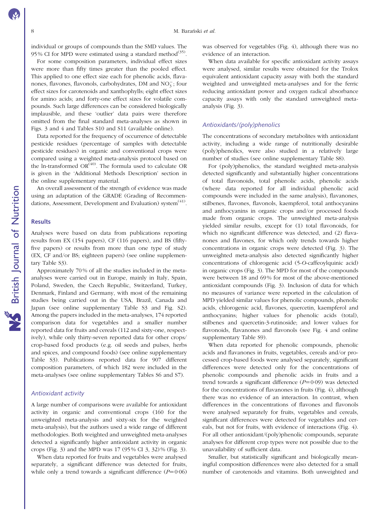individual or groups of compounds than the SMD values. The 95% CI for MPD were estimated using a standard method<sup>(35)</sup>.

For some composition parameters, individual effect sizes were more than fifty times greater than the pooled effect. This applied to one effect size each for phenolic acids, flavanones, flavones, flavonols, carbohydrates, DM and  $NO_3^-$ ; four effect sizes for carotenoids and xanthophylls; eight effect sizes for amino acids; and forty-one effect sizes for volatile compounds. Such large differences can be considered biologically implausible, and these 'outlier' data pairs were therefore omitted from the final standard meta-analyses as shown in [Figs. 3 and 4](#page-5-0) and Tables S10 and S11 (available online).

Data reported for the frequency of occurrence of detectable pesticide residues (percentage of samples with detectable pesticide residues) in organic and conventional crops were compared using a weighted meta-analysis protocol based on the ln-transformed  $OR^{(40)}$ . The formula used to calculate OR is given in the 'Additional Methods Description' section in the online supplementary material.

An overall assessment of the strength of evidence was made using an adaptation of the GRADE (Grading of Recommendations, Assessment, Development and Evaluation) system $<sup>(41)</sup>$ .</sup>

#### Results

Analyses were based on data from publications reporting results from EX (154 papers), CF (116 papers), and BS (fiftyfive papers) or results from more than one type of study (EX, CF and/or BS; eighteen papers) (see online supplementary Table S3).

Approximately 70 % of all the studies included in the metaanalyses were carried out in Europe, mainly in Italy, Spain, Poland, Sweden, the Czech Republic, Switzerland, Turkey, Denmark, Finland and Germany, with most of the remaining studies being carried out in the USA, Brazil, Canada and Japan (see online supplementary Table S3 and Fig. S2). Among the papers included in the meta-analyses, 174 reported comparison data for vegetables and a smaller number reported data for fruits and cereals (112 and sixty-one, respectively), while only thirty-seven reported data for other crops/ crop-based food products (e.g. oil seeds and pulses, herbs and spices, and compound foods) (see online supplementary Table S3). Publications reported data for 907 different composition parameters, of which 182 were included in the meta-analyses (see online supplementary Tables S6 and S7).

# Antioxidant activity

A large number of comparisons were available for antioxidant activity in organic and conventional crops (160 for the unweighted meta-analysis and sixty-six for the weighted meta-analysis), but the authors used a wide range of different methodologies. Both weighted and unweighted meta-analyses detected a significantly higher antioxidant activity in organic crops [\(Fig. 3\)](#page-5-0) and the MPD was 17 (95 % CI 3, 32) % ([Fig. 3](#page-5-0)).

When data reported for fruits and vegetables were analysed separately, a significant difference was detected for fruits, while only a trend towards a significant difference  $(P=0.06)$ 

was observed for vegetables ([Fig. 4\)](#page-6-0), although there was no evidence of an interaction.

When data available for specific antioxidant activity assays were analysed, similar results were obtained for the Trolox equivalent antioxidant capacity assay with both the standard weighted and unweighted meta-analyses and for the ferric reducing antioxidant power and oxygen radical absorbance capacity assays with only the standard unweighted metaanalysis [\(Fig. 3\)](#page-5-0).

#### Antioxidants/(poly)phenolics

The concentrations of secondary metabolites with antioxidant activity, including a wide range of nutritionally desirable (poly)phenolics, were also studied in a relatively large number of studies (see online supplementary Table S8).

For (poly)phenolics, the standard weighted meta-analysis detected significantly and substantially higher concentrations of total flavonoids, total phenolic acids, phenolic acids (where data reported for all individual phenolic acid compounds were included in the same analysis), flavanones, stilbenes, flavones, flavonols, kaempferol, total anthocyanins and anthocyanins in organic crops and/or processed foods made from organic crops. The unweighted meta-analysis yielded similar results, except for (1) total flavonoids, for which no significant difference was detected, and (2) flavanones and flavones, for which only trends towards higher concentrations in organic crops were detected [\(Fig. 3\)](#page-5-0). The unweighted meta-analysis also detected significantly higher concentrations of chlorogenic acid (5-O-caffeoylquinic acid) in organic crops [\(Fig. 3](#page-5-0)). The MPD for most of the compounds were between 18 and 69 % for most of the above-mentioned antioxidant compounds [\(Fig. 3](#page-5-0)). Inclusion of data for which no measures of variance were reported in the calculation of MPD yielded similar values for phenolic compounds, phenolic acids, chlorogenic acid, flavones, quercetin, kaempferol and anthocyanins; higher values for phenolic acids (total), stilbenes and quercetin-3-rutinoside; and lower values for flavonoids, flavanones and flavonols (see [Fig. 4](#page-6-0) and online supplementary Table S9).

When data reported for phenolic compounds, phenolic acids and flavanones in fruits, vegetables, cereals and/or processed crop-based foods were analysed separately, significant differences were detected only for the concentrations of phenolic compounds and phenolic acids in fruits and a trend towards a significant difference  $(P=0.09)$  was detected for the concentrations of flavanones in fruits ([Fig. 4\)](#page-6-0), although there was no evidence of an interaction. In contrast, when differences in the concentrations of flavones and flavonols were analysed separately for fruits, vegetables and cereals, significant differences were detected for vegetables and cereals, but not for fruits, with evidence of interactions [\(Fig. 4](#page-6-0)). For all other antioxidant/(poly)phenolic compounds, separate analyses for different crop types were not possible due to the unavailability of sufficient data.

Smaller, but statistically significant and biologically meaningful composition differences were also detected for a small number of carotenoids and vitamins. Both unweighted and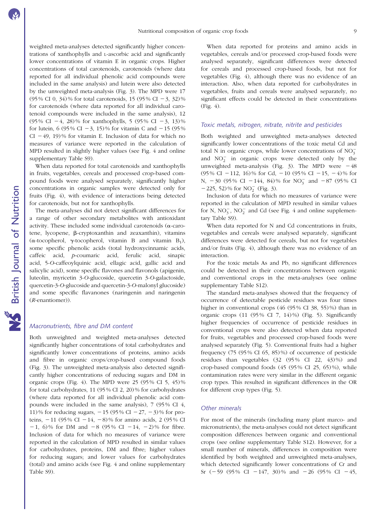weighted meta-analyses detected significantly higher concentrations of xanthophylls and L-ascorbic acid and significantly lower concentrations of vitamin E in organic crops. Higher concentrations of total carotenoids, carotenoids (where data reported for all individual phenolic acid compounds were included in the same analysis) and lutein were also detected by the unweighted meta-analysis [\(Fig. 3](#page-5-0)). The MPD were 17 (95 % CI 0, 34) % for total carotenoids, 15 (95 % CI - 3, 32) % for carotenoids (where data reported for all individual carotenoid compounds were included in the same analysis), 12 (95% CI -4, 28)% for xanthophylls, 5 (95% CI -3, 13)% for lutein, 6 (95% CI  $-3$ , 15)% for vitamin C and  $-15$  (95%  $CI - 49$ , 19)% for vitamin E. Inclusion of data for which no measures of variance were reported in the calculation of MPD resulted in slightly higher values (see [Fig. 4](#page-6-0) and online supplementary Table S9).

When data reported for total carotenoids and xanthophylls in fruits, vegetables, cereals and processed crop-based compound foods were analysed separately, significantly higher concentrations in organic samples were detected only for fruits [\(Fig. 4](#page-6-0)), with evidence of interactions being detected for carotenoids, but not for xanthophylls.

The meta-analyses did not detect significant differences for a range of other secondary metabolites with antioxidant activity. These included some individual carotenoids ( $\alpha$ -carotene, lycopene, b-cryptoxanthin and zeaxanthin), vitamins  $(\alpha$ -tocopherol,  $\gamma$ -tocopherol, vitamin B and vitamin B<sub>1</sub>), some specific phenolic acids (total hydroxycinnamic acids, caffeic acid, p-coumaric acid, ferulic acid, sinapic acid, 5-O-caffeoylquinic acid, ellagic acid, gallic acid and salicylic acid), some specific flavones and flavonols (apigenin, luteolin, myricetin 3-O-glucoside, quercetin 3-O-galactoside, quercetin-3-O-glucoside and quercetin-3-O-malonyl glucoside) and some specific flavanones (naringenin and naringenin (R-enantiomer)).

# Macronutrients, fibre and DM content

Both unweighted and weighted meta-analyses detected significantly higher concentrations of total carbohydrates and significantly lower concentrations of proteins, amino acids and fibre in organic crops/crop-based compound foods ([Fig. 3\)](#page-5-0). The unweighted meta-analysis also detected significantly higher concentrations of reducing sugars and DM in organic crops [\(Fig. 4\)](#page-6-0). The MPD were  $25$  (95% CI 5, 45)% for total carbohydrates, 11 (95 % CI 2, 20) % for carbohydrates (where data reported for all individual phenolic acid compounds were included in the same analysis), 7 (95 % CI 4, 11) % for reducing sugars,  $-15$  (95 % CI  $-27$ ,  $-3$ ) % for proteins,  $-11$  (95% CI  $-14$ ,  $-8$ )% for amino acids, 2 (95% CI  $-1$ , 6)% for DM and  $-8$  (95% CI  $-14$ ,  $-2$ )% for fibre. Inclusion of data for which no measures of variance were reported in the calculation of MPD resulted in similar values for carbohydrates, proteins, DM and fibre; higher values for reducing sugars; and lower values for carbohydrates (total) and amino acids (see [Fig. 4](#page-6-0) and online supplementary Table S9).

When data reported for proteins and amino acids in vegetables, cereals and/or processed crop-based foods were analysed separately, significant differences were detected for cereals and processed crop-based foods, but not for vegetables ([Fig. 4\)](#page-6-0), although there was no evidence of an interaction. Also, when data reported for carbohydrates in vegetables, fruits and cereals were analysed separately, no significant effects could be detected in their concentrations ([Fig. 4](#page-6-0)).

#### Toxic metals, nitrogen, nitrate, nitrite and pesticides

Both weighted and unweighted meta-analyses detected significantly lower concentrations of the toxic metal Cd and total N in organic crops, while lower concentrations of  $NO_3^$ and  $NO<sub>2</sub>$  in organic crops were detected only by the unweighted meta-analysis ([Fig. 3](#page-5-0)). The MPD were  $-48$ (95% CI - 112, 16)% for Cd, -10 (95% CI - 15, -4)% for N,  $-30$  (95% CI  $-144$ , 84)% for NO<sub>3</sub> and  $-87$  (95% CI  $-225$ , 52)% for NO<sub>2</sub> ([Fig. 3](#page-5-0)).

Inclusion of data for which no measures of variance were reported in the calculation of MPD resulted in similar values for N,  $NO_3^-$ ,  $NO_2^-$  and Cd (see [Fig. 4](#page-6-0) and online supplementary Table S9).

When data reported for N and Cd concentrations in fruits, vegetables and cereals were analysed separately, significant differences were detected for cereals, but not for vegetables and/or fruits [\(Fig. 4](#page-6-0)), although there was no evidence of an interaction.

For the toxic metals As and Pb, no significant differences could be detected in their concentrations between organic and conventional crops in the meta-analyses (see online supplementary Table S12).

The standard meta-analyses showed that the frequency of occurrence of detectable pesticide residues was four times higher in conventional crops (46 (95% CI 38, 55)%) than in organic crops  $(11 \ (95\% \ CL \ 7, 14)\%)$  [\(Fig. 5\)](#page-9-0). Significantly higher frequencies of occurrence of pesticide residues in conventional crops were also detected when data reported for fruits, vegetables and processed crop-based foods were analysed separately [\(Fig. 5\)](#page-9-0). Conventional fruits had a higher frequency (75 (95 % CI 65, 85) %) of occurrence of pesticide residues than vegetables (32 (95% CI 22, 43)%) and crop-based compound foods (45 (95 % CI 25, 65) %), while contamination rates were very similar in the different organic crop types. This resulted in significant differences in the OR for different crop types [\(Fig. 5\)](#page-9-0).

#### Other minerals

For most of the minerals (including many plant marco- and micronutrients), the meta-analyses could not detect significant composition differences between organic and conventional crops (see online supplementary Table S12). However, for a small number of minerals, differences in composition were identified by both weighted and unweighted meta-analyses, which detected significantly lower concentrations of Cr and Sr (-59 (95% CI -147, 30)% and -26 (95% CI -45,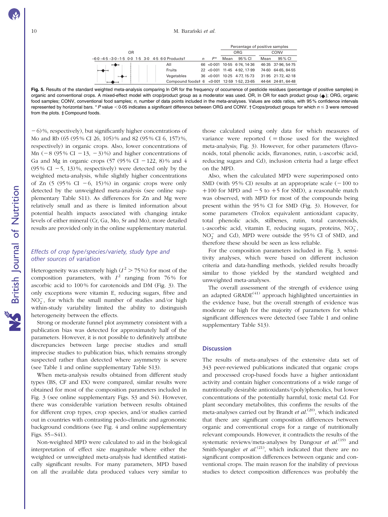|                                                    |                                              |            |      | Percentage of positive samples |                               |      |                    |  |
|----------------------------------------------------|----------------------------------------------|------------|------|--------------------------------|-------------------------------|------|--------------------|--|
| OR                                                 |                                              |            |      |                                | <b>ORG</b>                    | CONV |                    |  |
| -6.0 -4.5 -3.0 -1.5 0.0 1.5 3.0 4.5 6.0 Products + |                                              | $\sqrt{n}$ | $P*$ | Mean                           | 95 % CI                       | Mean | 95% CI             |  |
|                                                    | All                                          |            |      |                                | $66$ <0.001 10.55 6.74, 14.36 |      | 46.35 37.96, 54.75 |  |
|                                                    | <b>Fruits</b>                                |            |      |                                | 22 <0.001 11.45 4.92, 17.99   |      | 74.60 64.65, 84.55 |  |
|                                                    | Vegetables                                   |            |      |                                | 36 <0.001 10.25 4.77 15.73    |      | 31.95 21.72, 42.18 |  |
|                                                    | Compound foods # 6 < 0.001 12.59 1.52, 23.65 |            |      |                                |                               |      | 44.64 24.81, 64.48 |  |

<span id="page-9-0"></span>Fig. 5. Results of the standard weighted meta-analysis comparing In OR for the frequency of occurrence of pesticide residues (percentage of positive samples) in organic and conventional crops. A mixed-effect model with crop/product group as a moderator was used. OR, In OR for each product group ( $\blacklozenge$ ); ORG, organic food samples; CONV, conventional food samples; n, number of data points included in the meta-analyses. Values are odds ratios, with 95 % confidence intervals represented by horizontal bars. \* P value < 0.05 indicates a significant difference between ORG and CONV.  $\dagger$  Crops/product groups for which  $n \leq 3$  were removed from the plots. ‡ Compound foods.

 $-6$ )%, respectively), but significantly higher concentrations of Mo and Rb (65 (95 % CI 26, 105) % and 82 (95 % CI 6, 157) %, respectively) in organic crops. Also, lower concentrations of Mn  $(-8 (95\% \text{ CI} -13, -3)\%)$  and higher concentrations of Ga and Mg in organic crops (57 (95% CI - 122, 8)% and 4 (95% CI  $-5$ , 13)%, respectively) were detected only by the weighted meta-analysis, while slightly higher concentrations of Zn (5 (95% CI  $-6$ , 15)%) in organic crops were only detected by the unweighted meta-analysis (see online supplementary Table S11). As differences for Zn and Mg were relatively small and as there is limited information about potential health impacts associated with changing intake levels of either mineral (Cr, Ga, Mo, Sr and Mo), more detailed results are provided only in the online supplementary material.

# Effects of crop type/species/variety, study type and other sources of variation

Heterogeneity was extremely high  $(I^2 > 75\%)$  for most of the composition parameters, with  $I^2$  ranging from 76% for ascorbic acid to 100 % for carotenoids and DM ([Fig. 3\)](#page-5-0). The only exceptions were vitamin E, reducing sugars, fibre and  $NO<sub>2</sub><sup>-</sup>$ , for which the small number of studies and/or high within-study variability limited the ability to distinguish heterogeneity between the effects.

Strong or moderate funnel plot asymmetry consistent with a publication bias was detected for approximately half of the parameters. However, it is not possible to definitively attribute discrepancies between large precise studies and small imprecise studies to publication bias, which remains strongly suspected rather than detected where asymmetry is severe (see [Table 1](#page-10-0) and online supplementary Table S13).

When meta-analysis results obtained from different study types (BS, CF and EX) were compared, similar results were obtained for most of the composition parameters included in [Fig. 3](#page-5-0) (see online supplementary Figs. S3 and S4). However, there was considerable variation between results obtained for different crop types, crop species, and/or studies carried out in countries with contrasting pedo-climatic and agronomic background conditions (see [Fig. 4](#page-6-0) and online supplementary Figs. S5–S41).

Non-weighted MPD were calculated to aid in the biological interpretation of effect size magnitude where either the weighted or unweighted meta-analysis had identified statistically significant results. For many parameters, MPD based on all the available data produced values very similar to

those calculated using only data for which measures of variance were reported  $($  = those used for the weighted meta-analysis; [Fig. 3](#page-5-0)). However, for other parameters (flavonoids, total phenolic acids, flavanones, rutin, L-ascorbic acid, reducing sugars and Cd), inclusion criteria had a large effect on the MPD.

Also, when the calculated MPD were superimposed onto SMD (with  $95\%$  CI) results at an appropriate scale ( $-100$  to +100 for MPD and  $-5$  to +5 for SMD), a reasonable match was observed, with MPD for most of the compounds being present within the 95 % CI for SMD ([Fig. 3\)](#page-5-0). However, for some parameters (Trolox equivalent antioxidant capacity, total phenolic acids, stilbenes, rutin, total carotenoids, L-ascorbic acid, vitamin E, reducing sugars, proteins,  $NO_3^-$ ,  $NO<sub>2</sub><sup>-</sup>$  and Cd), MPD were outside the 95% CI of SMD, and therefore these should be seen as less reliable.

For the composition parameters included in [Fig. 3,](#page-5-0) sensitivity analyses, which were based on different inclusion criteria and data-handling methods, yielded results broadly similar to those yielded by the standard weighted and unweighted meta-analyses.

The overall assessment of the strength of evidence using an adapted GRADE<sup> $(41)$ </sup> approach highlighted uncertainties in the evidence base, but the overall strength of evidence was moderate or high for the majority of parameters for which significant differences were detected (see [Table 1](#page-10-0) and online supplementary Table S13).

# **Discussion**

The results of meta-analyses of the extensive data set of 343 peer-reviewed publications indicated that organic crops and processed crop-based foods have a higher antioxidant activity and contain higher concentrations of a wide range of nutritionally desirable antioxidants/(poly)phenolics, but lower concentrations of the potentially harmful, toxic metal Cd. For plant secondary metabolites, this confirms the results of the meta-analyses carried out by Brandt et  $al^{(20)}$ , which indicated that there are significant composition differences between organic and conventional crops for a range of nutritionally relevant compounds. However, it contradicts the results of the systematic reviews/meta-analyses by Dangour et  $al$ .<sup>(19)</sup> and Smith-Spangler *et al.*<sup>(21)</sup>, which indicated that there are no significant composition differences between organic and conventional crops. The main reason for the inability of previous studies to detect composition differences was probably the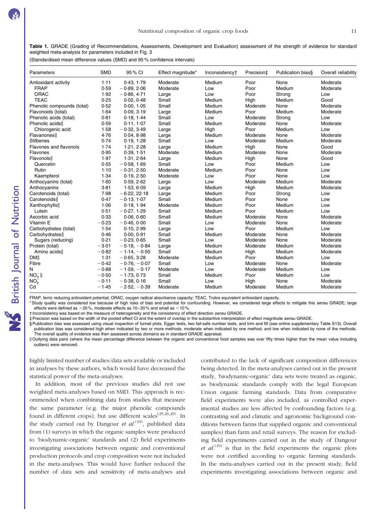<span id="page-10-0"></span>Table 1. GRADE (Grading of Recommendations, Assessments, Development and Evaluation) assessment of the strength of evidence for standard weighted meta-analysis for parameters included in [Fig. 3](#page-5-0)

(Standardised mean difference values (SMD) and 95 % confidence intervals)

| Parameters                 | <b>SMD</b> | 95 % CI        | Effect magnitude* | Inconsistency† | Precision‡ | Publication bias§ | Overall reliability |
|----------------------------|------------|----------------|-------------------|----------------|------------|-------------------|---------------------|
| Antioxidant activity       | 1.11       | 0.43, 1.79     | Moderate          | Medium         | Poor       | None              | Moderate            |
| <b>FRAP</b>                | 0.59       | $-0.89, 2.06$  | Moderate          | Low            | Poor       | Medium            | Moderate            |
| ORAC                       | 1.92       | $-0.86, 4.71$  | Large             | Low            | Poor       | Strong            | Low                 |
| <b>TEAC</b>                | 0.25       | 0.02, 0.48     | Small             | Medium         | High       | Medium            | Good                |
| Phenolic compounds (total) | 0.52       | 0.00.1.05      | Small             | Medium         | Moderate   | None              | Moderate            |
| Flavonoids (total)         | 1.64       | 0.09, 3.19     | Large             | Medium         | Poor       | Medium            | Moderate            |
| Phenolic acids (total)     | 0.81       | 0.18, 1.44     | Small             | Low            | Moderate   | Strong            | Low                 |
| Phenolic acids             | 0.59       | 0.11, 1.07     | Small             | Medium         | Moderate   | None              | Moderate            |
| Chlorogenic acid           | 1.58       | $-0.32, 3.49$  | Large             | High           | Poor       | Medium            | Low                 |
| Flavanones                 | 4.76       | 0.54, 8.98     | Large             | Medium         | Moderate   | None              | Moderate            |
| <b>Stilbenes</b>           | 0.74       | 0.19, 1.28     | Small             | Low            | Moderate   | Medium            | Moderate            |
| Flavones and flavonols     | 1.74       | 1.21, 2.28     | Large             | Medium         | High       | None              | Good                |
| Flavones                   | 0.95       | 0.39, 1.51     | Moderate          | Medium         | Moderate   | None              | Moderate            |
| Flavonolsll                | 1.97       | 1.31, 2.64     | Large             | Medium         | High       | None              | Good                |
| Quercetin                  | 0.55       | $-0.58, 1.69$  | Small             | Low            | Poor       | Medium            | Low                 |
| Rutin                      | 1.10       | $-0.31, 2.50$  | Moderate          | Medium         | Poor       | None              | Low                 |
| Kaempferol                 | 1.34       | 0.19, 2.50     | Moderate          | Low            | Poor       | None              | Low                 |
| Anthocyanins (total)       | 1.60       | 0.59, 2.62     | Large             | Low            | Moderate   | Medium            | Moderate            |
| Anthocyanins               | $3-81$     | 1.53, 6.09     | Large             | Medium         | High       | Medium            | Moderate            |
| Carotenoids (total)        | 7.98       | $-6.22, 22.18$ | Large             | Medium         | Poor       | Strong            | Low                 |
| Carotenoids                | 0.47       | $-0.13, 1.07$  | Small             | Medium         | Poor       | None              | Low                 |
| Xanthophylls               | 1.06       | 0.18, 1.94     | Moderate          | Medium         | Poor       | Medium            | Low                 |
| Lutein                     | 0.51       | $-0.27.1.29$   | Small             | Medium         | Poor       | Medium            | Low                 |
| Ascorbic acid              | 0.33       | 0.06, 0.60     | Small             | Medium         | Moderate   | None              | Moderate            |
| Vitamin E                  | $-0.23$    | $-0.46, 0.00$  | Small             | Low            | Moderate   | None              | Moderate            |
| Carbohydrates (total)      | 1.54       | 0.10.2.99      | Large             | Low            | Poor       | Medium            | Low                 |
| Carbohydrates              | 0.46       | 0.00, 0.91     | Small             | Medium         | Moderate   | None              | Moderate            |
| Sugars (reducing)          | 0.21       | $-0.23, 0.65$  | Small             | Low            | Moderate   | None              | Moderate            |
| Protein (total)            | $-3.01$    | $-5.18, -0.84$ | Large             | Medium         | Moderate   | Medium            | Moderate            |
| Amino acids                | $-0.82$    | $-1.14, -0.50$ | Small             | Medium         | High       | Medium            | Moderate            |
| <b>DMI</b>                 | 1.31       | $-0.65, 3.28$  | Moderate          | Medium         | Poor       | Medium            | Low                 |
| Fibre                      | $-0.42$    | $-0.76, -0.07$ | Small             | Low            | Moderate   | None              | Moderate            |
| N                          | $-0.88$    | $-1.59, -0.17$ | Moderate          | Low            | Moderate   | Medium            | Low                 |
| $NO_3^-$                   | $-0.50$    | $-1.73, 0.73$  | Small             | Medium         | Poor       | Medium            | Low                 |
| NO <sub>2</sub>            | $-0.11$    | $-0.38, 0.16$  | Small             | Low            | High       | None              | Moderate            |
| Cd                         | $-1.45$    | $-2.52, -0.39$ | Moderate          | Medium         | Moderate   | Medium            | Moderate            |

FRAP, ferric reducing antioxidant potential; ORAC, oxygen radical absorbance capacity; TEAC, Trolox equivalent antioxidant capacity.

\* Study quality was considered low because of high risks of bias and potential for confounding. However, we considered large effects to mitigate this sensu GRADE; large effects were defined as  $>$  20%, moderate effects as 10–20% and small as < 10%.

† Inconsistency was based on the measure of heterogeneity and the consistency of effect direction sensu GRADE.

‡ Precision was based on the width of the pooled effect CI and the extent of overlap in the substantive interpretation of effect magnitude sensu GRADE.

§ Publication bias was assessed using visual inspection of funnel plots, Egger tests, two fail-safe number tests, and trim and fill (see online supplementary Table S13). Overall publication bias was considered high when indicated by two or more methods, moderate when indicated by one method, and low when indicated by none of the methods. The overall quality of evidence was then assessed across domains as in standard GRADE appraisal.

Il Outlying data pairs (where the mean percentage difference between the organic and conventional food samples was over fifty times higher than the mean value including outliers) were removed.

highly limited number of studies/data sets available or included in analyses by these authors, which would have decreased the statistical power of the meta-analyses.

In addition, most of the previous studies did not use weighted meta-analyses based on SMD. This approach is recommended when combining data from studies that measure the same parameter (e.g. the major phenolic compounds found in different crops), but use different scales<sup>(25,26,29)</sup>. In the study carried out by Dangour et  $al^{(19)}$ , published data from (1) surveys in which the organic samples were produced to 'biodynamic-organic' standards and (2) field experiments investigating associations between organic and conventional production protocols and crop composition were not included in the meta-analyses. This would have further reduced the number of data sets and sensitivity of meta-analyses and

contributed to the lack of significant composition differences being detected. In the meta-analyses carried out in the present study, 'biodynamic-organic' data sets were treated as organic, as biodynamic standards comply with the legal European Union organic farming standards. Data from comparative field experiments were also included, as controlled experimental studies are less affected by confounding factors (e.g. contrasting soil and climatic and agronomic background conditions between farms that supplied organic and conventional samples) than farm and retail surveys. The reason for excluding field experiments carried out in the study of Dangour et  $al^{(19)}$  is that in the field experiments the organic plots were not certified according to organic farming standards. In the meta-analyses carried out in the present study, field experiments investigating associations between organic and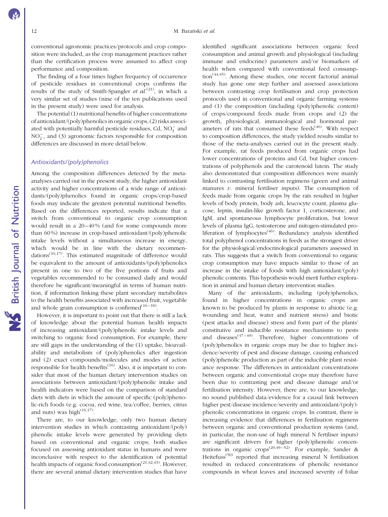conventional agronomic practices/protocols and crop composition were included, as the crop management practices rather than the certification process were assumed to affect crop performance and composition.

The finding of a four times higher frequency of occurrence of pesticide residues in conventional crops confirms the results of the study of Smith-Spangler *et al.*<sup>(21)</sup>, in which a very similar set of studies (nine of the ten publications used in the present study) were used for analysis.

The potential (1) nutritional benefits of higher concentrations of antioxidant/(poly)phenolics in organiccrops, (2) risks associated with potentially harmful pesticide residues, Cd,  $NO_3^-$  and  $NO<sub>2</sub><sup>-</sup>$ , and (3) agronomic factors responsible for composition differences are discussed in more detail below.

#### Antioxidants/(poly)phenolics

Among the composition differences detected by the metaanalyses carried out in the present study, the higher antioxidant activity and higher concentrations of a wide range of antioxidants/(poly)phenolics found in organic crops/crop-based foods may indicate the greatest potential nutritional benefits. Based on the differences reported, results indicate that a switch from conventional to organic crop consumption would result in a 20–40 % (and for some compounds more than 60 %) increase in crop-based antioxidant/(poly)phenolic intake levels without a simultaneous increase in energy, which would be in line with the dietary recommendations<sup> $(16,17)$ </sup>. This estimated magnitude of difference would be equivalent to the amount of antioxidants/(poly)phenolics present in one to two of the five portions of fruits and vegetables recommended to be consumed daily and would therefore be significant/meaningful in terms of human nutrition, if information linking these plant secondary metabolites to the health benefits associated with increased fruit, vegetable and whole grain consumption is confirmed $(16-18)$ .

However, it is important to point out that there is still a lack of knowledge about the potential human health impacts of increasing antioxidant/(poly)phenolic intake levels and switching to organic food consumption. For example, there are still gaps in the understanding of the (1) uptake, bioavailability and metabolism of (poly)phenolics after ingestion and (2) exact compounds/molecules and modes of action responsible for health benefits<sup> $(16)$ </sup>. Also, it is important to consider that most of the human dietary intervention studies on associations between antioxidant/(poly)phenolic intake and health indicators were based on the comparison of standard diets with diets in which the amount of specific (poly)phenolic-rich foods (e.g. cocoa, red wine, tea/coffee, berries, citrus and nuts) was high $(16,17)$ .

There are, to our knowledge, only two human dietary intervention studies in which contrasting antioxidant/(poly) phenolic intake levels were generated by providing diets based on conventional and organic crops; both studies focused on assessing antioxidant status in humans and were inconclusive with respect to the identification of potential health impacts of organic food consumption<sup>(21,42,43)</sup>. However, there are several animal dietary intervention studies that have

identified significant associations between organic feed consumption and animal growth and physiological (including immune and endocrine) parameters and/or biomarkers of health when compared with conventional feed consumption(44,45). Among these studies, one recent factorial animal study has gone one step further and assessed associations between contrasting crop fertilisation and crop protection protocols used in conventional and organic farming systems and (1) the composition (including (poly)phenolic content) of crops/compound feeds made from crops and (2) the growth, physiological, immunological and hormonal parameters of rats that consumed these feeds $(46)$ . With respect to composition differences, the study yielded results similar to those of the meta-analyses carried out in the present study. For example, rat feeds produced from organic crops had lower concentrations of proteins and Cd, but higher concentrations of polyphenols and the carotenoid lutein. The study also demonstrated that composition differences were mainly linked to contrasting fertilisation regimens (green and animal manures  $v$ . mineral fertiliser inputs). The consumption of feeds made from organic crops by the rats resulted in higher levels of body protein, body ash, leucocyte count, plasma glucose, leptin, insulin-like growth factor 1, corticosterone, and IgM, and spontaneous lymphocyte proliferation, but lower levels of plasma IgG, testosterone and mitogen-stimulated proliferation of lymphocytes<sup> $(46)$ </sup>. Redundancy analysis identified total polyphenol concentrations in feeds as the strongest driver for the physiological/endocrinological parameters assessed in rats. This suggests that a switch from conventional to organic crop consumption may have impacts similar to those of an increase in the intake of foods with high antioxidant/(poly) phenolic contents. This hypothesis would merit further exploration in animal and human dietary intervention studies.

Many of the antioxidants, including (poly)phenolics, found in higher concentrations in organic crops are known to be produced by plants in response to abiotic (e.g. wounding and heat, water and nutrient stress) and biotic (pest attacks and disease) stress and form part of the plants' constitutive and inducible resistance mechanisms to pests and diseases<sup> $(47-49)$ </sup>. Therefore, higher concentrations of (poly)phenolics in organic crops may be due to higher incidence/severity of pest and disease damage, causing enhanced (poly)phenolic production as part of the inducible plant resistance response. The differences in antioxidant concentrations between organic and conventional crops may therefore have been due to contrasting pest and disease damage and/or fertilisation intensity. However, there are, to our knowledge, no sound published data/evidence for a causal link between higher pest/disease incidence/severity and antioxidant/(poly) phenolic concentrations in organic crops. In contrast, there is increasing evidence that differences in fertilisation regimens between organic and conventional production systems (and, in particular, the non-use of high mineral N fertiliser inputs) are significant drivers for higher (poly)phenolic concentrations in organic crops<sup>(20,49–52)</sup>. For example, Sander & Heitefuss<sup> $(50)$ </sup> reported that increasing mineral N fertilisation resulted in reduced concentrations of phenolic resistance compounds in wheat leaves and increased severity of foliar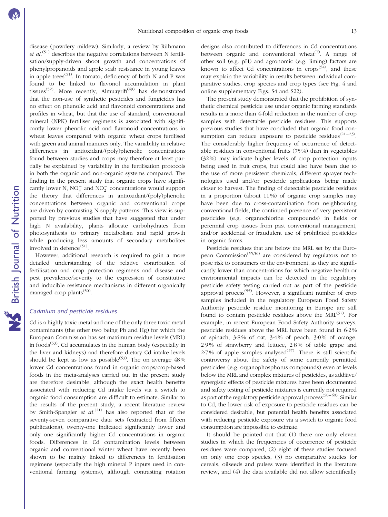disease (powdery mildew). Similarly, a review by Rühmann et  $al^{(51)}$  describes the negative correlations between N fertilisation/supply-driven shoot growth and concentrations of phenylpropanoids and apple scab resistance in young leaves in apple trees<sup>(51)</sup>. In tomato, deficiency of both N and P was found to be linked to flavonol accumulation in plant tissues<sup>(52)</sup>. More recently, Almuayrifi<sup>(49)</sup> has demonstrated that the non-use of synthetic pesticides and fungicides has no effect on phenolic acid and flavonoid concentrations and profiles in wheat, but that the use of standard, conventional mineral (NPK) fertiliser regimens is associated with significantly lower phenolic acid and flavonoid concentrations in wheat leaves compared with organic wheat crops fertilised with green and animal manures only. The variability in relative differences in antioxidant/(poly)phenolic concentrations found between studies and crops may therefore at least partially be explained by variability in the fertilisation protocols in both the organic and non-organic systems compared. The finding in the present study that organic crops have significantly lower N,  $NO_3^-$  and  $NO_2^-$  concentrations would support the theory that differences in antioxidant/(poly)phenolic concentrations between organic and conventional crops are driven by contrasting N supply patterns. This view is supported by previous studies that have suggested that under high N availability, plants allocate carbohydrates from photosynthesis to primary metabolism and rapid growth while producing less amounts of secondary metabolites involved in defence<sup>(51)</sup>.

However, additional research is required to gain a more detailed understanding of the relative contribution of fertilisation and crop protection regimens and disease and pest prevalence/severity to the expression of constitutive and inducible resistance mechanisms in different organically managed crop plants<sup>(50)</sup>.

# Cadmium and pesticide residues

Cd is a highly toxic metal and one of the only three toxic metal contaminants (the other two being Pb and Hg) for which the European Commission has set maximum residue levels (MRL) in foods<sup>(53)</sup>. Cd accumulates in the human body (especially in the liver and kidneys) and therefore dietary Cd intake levels should be kept as low as possible<sup>(53)</sup>. The on average  $48\%$ lower Cd concentrations found in organic crops/crop-based foods in the meta-analyses carried out in the present study are therefore desirable, although the exact health benefits associated with reducing Cd intake levels via a switch to organic food consumption are difficult to estimate. Similar to the results of the present study, a recent literature review by Smith-Spangler *et al.*<sup>(21)</sup> has also reported that of the seventy-seven comparative data sets (extracted from fifteen publications), twenty-one indicated significantly lower and only one significantly higher Cd concentrations in organic foods. Differences in Cd contamination levels between organic and conventional winter wheat have recently been shown to be mainly linked to differences in fertilisation regimens (especially the high mineral P inputs used in conventional farming systems), although contrasting rotation

designs also contributed to differences in Cd concentrations between organic and conventional wheat<sup> $(7)$ </sup>. A range of other soil (e.g. pH) and agronomic (e.g. liming) factors are known to affect Cd concentrations in  $\text{crops}^{(54)}$ , and these may explain the variability in results between individual comparative studies, crop species and crop types (see [Fig. 4](#page-6-0) and online supplementary Figs. S4 and S22).

The present study demonstrated that the prohibition of synthetic chemical pesticide use under organic farming standards results in a more than 4-fold reduction in the number of crop samples with detectable pesticide residues. This supports previous studies that have concluded that organic food consumption can reduce exposure to pesticide residues<sup>(21–23)</sup>. The considerably higher frequency of occurrence of detectable residues in conventional fruits (75 %) than in vegetables (32 %) may indicate higher levels of crop protection inputs being used in fruit crops, but could also have been due to the use of more persistent chemicals, different sprayer technologies used and/or pesticide applications being made closer to harvest. The finding of detectable pesticide residues in a proportion (about  $11\%$ ) of organic crop samples may have been due to cross-contamination from neighbouring conventional fields, the continued presence of very persistent pesticides (e.g. organochlorine compounds) in fields or perennial crop tissues from past conventional management, and/or accidental or fraudulent use of prohibited pesticides in organic farms.

Pesticide residues that are below the MRL set by the European Commission(55,56) are considered by regulators not to pose risk to consumers or the environment, as they are significantly lower than concentrations for which negative health or environmental impacts can be detected in the regulatory pesticide safety testing carried out as part of the pesticide approval process<sup>(55)</sup>. However, a significant number of crop samples included in the regulatory European Food Safety Authority pesticide residue monitoring in Europe are still found to contain pesticide residues above the  $MRL^{(57)}$ . For example, in recent European Food Safety Authority surveys, pesticide residues above the MRL have been found in 6·2 % of spinach,  $3.8\%$  of oat,  $3.4\%$  of peach,  $3.0\%$  of orange, 2·9 % of strawberry and lettuce, 2·8 % of table grape and  $2.7\%$  of apple samples analysed<sup>(57)</sup>. There is still scientific controversy about the safety of some currently permitted pesticides (e.g. organophosphorus compounds) even at levels below the MRL and complex mixtures of pesticides, as additive/ synergistic effects of pesticide mixtures have been documented and safety testing of pesticide mixtures is currently not required as part of the regulatory pesticide approval process<sup>(58-60)</sup>. Similar to Cd, the lower risk of exposure to pesticide residues can be considered desirable, but potential health benefits associated with reducing pesticide exposure via a switch to organic food consumption are impossible to estimate.

It should be pointed out that (1) there are only eleven studies in which the frequencies of occurrence of pesticide residues were compared, (2) eight of these studies focused on only one crop species, (3) no comparative studies for cereals, oilseeds and pulses were identified in the literature review, and (4) the data available did not allow scientifically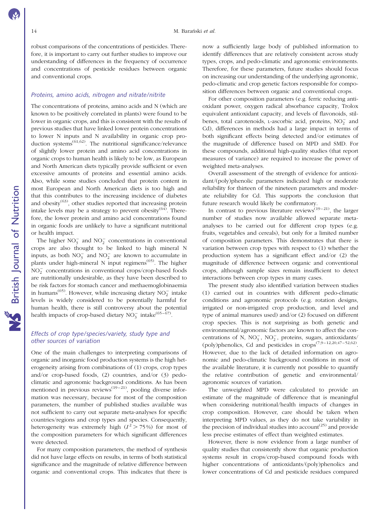robust comparisons of the concentrations of pesticides. Therefore, it is important to carry out further studies to improve our understanding of differences in the frequency of occurrence and concentrations of pesticide residues between organic and conventional crops.

#### Proteins, amino acids, nitrogen and nitrate/nitrite

The concentrations of proteins, amino acids and N (which are known to be positively correlated in plants) were found to be lower in organic crops, and this is consistent with the results of previous studies that have linked lower protein concentrations to lower N inputs and N availability in organic crop production systems<sup> $(61,62)$ </sup>. The nutritional significance/relevance of slightly lower protein and amino acid concentrations in organic crops to human health is likely to be low, as European and North American diets typically provide sufficient or even excessive amounts of proteins and essential amino acids. Also, while some studies concluded that protein content in most European and North American diets is too high and that this contributes to the increasing incidence of diabetes and obesity $(63)$ , other studies reported that increasing protein intake levels may be a strategy to prevent obesity $(64)$ . Therefore, the lower protein and amino acid concentrations found in organic foods are unlikely to have a significant nutritional or health impact.

The higher  $NO_3^-$  and  $NO_2^-$  concentrations in conventional crops are also thought to be linked to high mineral N inputs, as both  $NO_3^-$  and  $NO_2^-$  are known to accumulate in plants under high-mineral N input regimens<sup> $(65)$ </sup>. The higher NO<sup>2</sup> <sup>2</sup> concentrations in conventional crops/crop-based foods are nutritionally undesirable, as they have been described to be risk factors for stomach cancer and methaemoglobinaemia in humans<sup>(65)</sup>. However, while increasing dietary  $NO_2^-$  intake levels is widely considered to be potentially harmful for human health, there is still controversy about the potential health impacts of crop-based dietary  $NO_3^-$  intake<sup>(65–67)</sup>.

# Effects of crop type/species/variety, study type and other sources of variation

One of the main challenges to interpreting comparisons of organic and inorganic food production systems is the high heterogeneity arising from combinations of (1) crops, crop types and/or crop-based foods, (2) countries, and/or (3) pedoclimatic and agronomic background conditions. As has been emiante and agronomic background conditional in the same infor-<br>mentioned in previous reviews<sup>(19–21)</sup>, pooling diverse information was necessary, because for most of the composition parameters, the number of published studies available was not sufficient to carry out separate meta-analyses for specific countries/regions and crop types and species. Consequently, heterogeneity was extremely high  $(I^2 > 75\%)$  for most of the composition parameters for which significant differences were detected.

For many composition parameters, the method of synthesis did not have large effects on results, in terms of both statistical significance and the magnitude of relative difference between organic and conventional crops. This indicates that there is now a sufficiently large body of published information to identify differences that are relatively consistent across study types, crops, and pedo-climatic and agronomic environments. Therefore, for these parameters, future studies should focus on increasing our understanding of the underlying agronomic, pedo-climatic and crop genetic factors responsible for composition differences between organic and conventional crops.

For other composition parameters (e.g. ferric reducing antioxidant power, oxygen radical absorbance capacity, Trolox equivalent antioxidant capacity, and levels of flavonoids, stilbenes, total carotenoids, L-ascorbic acid, proteins,  $NO<sub>2</sub><sup>-</sup>$  and Cd), differences in methods had a large impact in terms of both significant effects being detected and/or estimates of the magnitude of difference based on MPD and SMD. For these compounds, additional high-quality studies (that report measures of variance) are required to increase the power of weighted meta-analyses.

Overall assessment of the strength of evidence for antioxidant/(poly)phenolic parameters indicated high or moderate reliability for thirteen of the nineteen parameters and moderate reliability for Cd. This supports the conclusion that future research would likely be confirmatory.

In contrast to previous literature reviews<sup> $(19-21)$ </sup>, the larger number of studies now available allowed separate metaanalyses to be carried out for different crop types (e.g. fruits, vegetables and cereals), but only for a limited number of composition parameters. This demonstrates that there is variation between crop types with respect to (1) whether the production system has a significant effect and/or (2) the magnitude of difference between organic and conventional crops, although sample sizes remain insufficient to detect interactions between crop types in many cases.

The present study also identified variation between studies (1) carried out in countries with different pedo-climatic conditions and agronomic protocols (e.g. rotation designs, irrigated or non-irrigated crop production, and level and type of animal manures used) and/or (2) focused on different crop species. This is not surprising as both genetic and environmental/agronomic factors are known to affect the concentrations of N,  $NO_3^-$ ,  $NO_2^-$ , proteins, sugars, antioxidants/ (poly)phenolics, Cd and pesticides in crops(7,9–12,20,47–52,62). However, due to the lack of detailed information on agronomic and pedo-climatic background conditions in most of the available literature, it is currently not possible to quantify the relative contribution of genetic and environmental/ agronomic sources of variation.

The unweighted MPD were calculated to provide an estimate of the magnitude of difference that is meaningful when considering nutritional/health impacts of changes in crop composition. However, care should be taken when interpreting MPD values, as they do not take variability in the precision of individual studies into account<sup> $(25)$ </sup> and provide less precise estimates of effect than weighted estimates.

However, there is now evidence from a large number of quality studies that consistently show that organic production systems result in crops/crop-based compound foods with higher concentrations of antioxidants/(poly)phenolics and lower concentrations of Cd and pesticide residues compared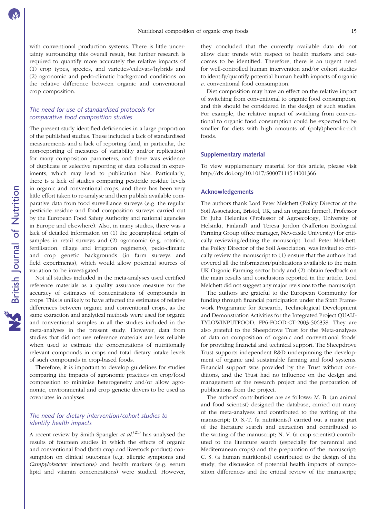with conventional production systems. There is little uncertainty surrounding this overall result, but further research is required to quantify more accurately the relative impacts of (1) crop types, species, and varieties/cultivars/hybrids and (2) agronomic and pedo-climatic background conditions on the relative difference between organic and conventional crop composition.

# The need for use of standardised protocols for comparative food composition studies

The present study identified deficiencies in a large proportion of the published studies. These included a lack of standardised measurements and a lack of reporting (and, in particular, the non-reporting of measures of variability and/or replication) for many composition parameters, and there was evidence of duplicate or selective reporting of data collected in experiments, which may lead to publication bias. Particularly, there is a lack of studies comparing pesticide residue levels in organic and conventional crops, and there has been very little effort taken to re-analyse and then publish available comparative data from food surveillance surveys (e.g. the regular pesticide residue and food composition surveys carried out by the European Food Safety Authority and national agencies in Europe and elsewhere). Also, in many studies, there was a lack of detailed information on (1) the geographical origin of samples in retail surveys and (2) agronomic (e.g. rotation, fertilisation, tillage and irrigation regimens), pedo-climatic and crop genetic backgrounds (in farm surveys and field experiments), which would allow potential sources of variation to be investigated.

Not all studies included in the meta-analyses used certified reference materials as a quality assurance measure for the accuracy of estimates of concentrations of compounds in crops. This is unlikely to have affected the estimates of relative differences between organic and conventional crops, as the same extraction and analytical methods were used for organic and conventional samples in all the studies included in the meta-analyses in the present study. However, data from studies that did not use reference materials are less reliable when used to estimate the concentrations of nutritionally relevant compounds in crops and total dietary intake levels of such compounds in crop-based foods.

Therefore, it is important to develop guidelines for studies comparing the impacts of agronomic practices on crop/food composition to minimise heterogeneity and/or allow agronomic, environmental and crop genetic drivers to be used as covariates in analyses.

# The need for dietary intervention/cohort studies to identify health impacts

A recent review by Smith-Spangler *et al.*<sup>(21)</sup> has analysed the results of fourteen studies in which the effects of organic and conventional food (both crop and livestock product) consumption on clinical outcomes (e.g. allergic symptoms and Campylobacter infections) and health markers (e.g. serum lipid and vitamin concentrations) were studied. However,

they concluded that the currently available data do not allow clear trends with respect to health markers and outcomes to be identified. Therefore, there is an urgent need for well-controlled human intervention and/or cohort studies to identify/quantify potential human health impacts of organic v. conventional food consumption.

Diet composition may have an effect on the relative impact of switching from conventional to organic food consumption, and this should be considered in the design of such studies. For example, the relative impact of switching from conventional to organic food consumption could be expected to be smaller for diets with high amounts of (poly)phenolic-rich foods.

### Supplementary material

To view supplementary material for this article, please visit http://dx.doi.org/10.1017/S0007114514001366

#### Acknowledgements

The authors thank Lord Peter Melchett (Policy Director of the Soil Association, Bristol, UK, and an organic farmer), Professor Dr Juha Helenius (Professor of Agroecology, University of Helsinki, Finland) and Teresa Jordon (Nafferton Ecological Farming Group office manager, Newcastle University) for critically reviewing/editing the manuscript. Lord Peter Melchett, the Policy Director of the Soil Association, was invited to critically review the manuscript to (1) ensure that the authors had covered all the information/publications available to the main UK Organic Farming sector body and (2) obtain feedback on the main results and conclusions reported in the article. Lord Melchett did not suggest any major revisions to the manuscript.

The authors are grateful to the European Community for funding through financial participation under the Sixth Framework Programme for Research, Technological Development and Demonstration Activities for the Integrated Project QUALI-TYLOWINPUTFOOD, FP6-FOOD-CT-2003-506358. They are also grateful to the Sheepdrove Trust for the 'Meta-analyses of data on composition of organic and conventional foods' for providing financial and technical support. The Sheepdrove Trust supports independent R&D underpinning the development of organic and sustainable farming and food systems. Financial support was provided by the Trust without conditions, and the Trust had no influence on the design and management of the research project and the preparation of publications from the project.

The authors' contributions are as follows: M. B. (an animal and food scientist) designed the database, carried out many of the meta-analyses and contributed to the writing of the manuscript; D. S.-T. (a nutritionist) carried out a major part of the literature search and extraction and contributed to the writing of the manuscript; N. V. (a crop scientist) contributed to the literature search (especially for perennial and Mediterranean crops) and the preparation of the manuscript; C. S. (a human nutritionist) contributed to the design of the study, the discussion of potential health impacts of composition differences and the critical review of the manuscript;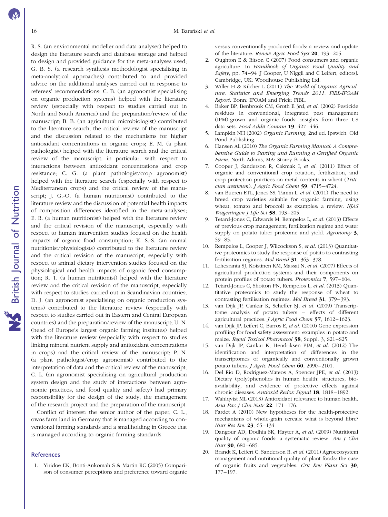R. S. (an environmental modeller and data analyser) helped to design the literature search and database storage and helped to design and provided guidance for the meta-analyses used; G. B. S. (a research synthesis methodologist specialising in meta-analytical approaches) contributed to and provided advice on the additional analyses carried out in response to referees' recommendations; C. B. (an agronomist specialising on organic production systems) helped with the literature review (especially with respect to studies carried out in North and South America) and the preparation/review of the manuscript; B. B. (an agricultural microbiologist) contributed to the literature search, the critical review of the manuscript and the discussion related to the mechanisms for higher antioxidant concentrations in organic crops; E. M. (a plant pathologist) helped with the literature search and the critical review of the manuscript, in particular, with respect to interactions between antioxidant concentrations and crop resistance; C. G. (a plant pathologist/crop agronomist) helped with the literature search (especially with respect to Mediterranean crops) and the critical review of the manuscript; J. G.-O. (a human nutritionist) contributed to the literature review and the discussion of potential health impacts of composition differences identified in the meta-analyses; E. R. (a human nutritionist) helped with the literature review and the critical revision of the manuscript, especially with respect to human intervention studies focused on the health impacts of organic food consumption; K. S.-S. (an animal nutritionist/physiologists) contributed to the literature review and the critical revision of the manuscript, especially with respect to animal dietary intervention studies focused on the physiological and health impacts of organic feed consumption; R. T. (a human nutritionist) helped with the literature review and the critical revision of the manuscript, especially with respect to studies carried out in Scandinavian countries; D. J. (an agronomist specialising on organic production systems) contributed to the literature review (especially with respect to studies carried out in Eastern and Central European countries) and the preparation/review of the manuscript; U. N. (head of Europe's largest organic farming institutes) helped with the literature review (especially with respect to studies linking mineral nutrient supply and antioxidant concentrations in crops) and the critical review of the manuscript; P. N. (a plant pathologist/crop agronomist) contributed to the interpretation of data and the critical review of the manuscript; C. L. (an agronomist specialising on agricultural production system design and the study of interactions between agronomic practices, and food quality and safety) had primary responsibility for the design of the study, the management of the research project and the preparation of the manuscript.

Conflict of interest: the senior author of the paper, C. L., owns farm land in Germany that is managed according to conventional farming standards and a smallholding in Greece that is managed according to organic farming standards.

#### References

1. Yiridoe EK, Bonti-Ankomah S & Martin RC (2005) Comparison of consumer perceptions and preference toward organic versus conventionally produced foods: a review and update of the literature. Renew Agric Food Syst 20, 193–205.

- 2. Oughton E & Ritson C (2007) Food consumers and organic agriculture. In Handbook of Organic Food Quality and Safety, pp. 74–94 [J Cooper, U Niggli and C Leifert, editors]. Cambridge, UK: Woodhouse Publishing Ltd.
- 3. Willer H & Kilcher L (2011) The World of Organic Agriculture. Statistics and Emerging Trends 2011. FiBL-IFOAM Report. Bonn: IFOAM and Frick: FiBL.
- 4. Baker BP, Benbrook CM, Groth E 3rd, et al. (2002) Pesticide residues in conventional, integrated pest management (IPM)-grown and organic foods: insights from three US data sets. Food Addit Contam 19, 427–446.
- 5. Lampkin NH (2002) Organic Farming, 2nd ed. Ipswich: Old Pond Publishing.
- 6. Hansen AL (2010) The Organic Farming Manual: A Comprehensive Guide to Starting and Running a Certified Organic Farm. North Adams, MA: Storey Books.
- 7. Cooper J, Sanderson R, Cakmak I, et al. (2011) Effect of organic and conventional crop rotation, fertilization, and crop protection practices on metal contents in wheat (Triticum aestivum). J Agric Food Chem 59, 4715–4724.
- 8. van Bueren ETL, Jones SS, Tamm L, et al. (2011) The need to breed crop varieties suitable for organic farming, using wheat, tomato and broccoli as examples: a review. NJAS Wageningen J Life Sci 58, 193–205.
- 9. Tetard-Jones C, Edwards M, Rempelos L, et al. (2013) Effects of previous crop management, fertilization regime and water supply on potato tuber proteome and yield. Agronomy 3, 59–85.
- 10. Rempelos L, Cooper J, Wilcockson S, et al. (2013) Quantitative proteomics to study the response of potato to contrasting fertilisation regimes. Mol Breed 31, 363–378.
- 11. Lehesranta SJ, Koistinen KM, Massat N, et al. (2007) Effects of agricultural production systems and their components on protein profiles of potato tubers. Proteomics 7, 597–604.
- 12. Tetard-Jones C, Shotton PN, Rempelos L, et al. (2013) Quantitative proteomics to study the response of wheat to contrasting fertilisation regimes. Mol Breed 31, 379–393.
- 13. van Dijk JP, Cankar K, Scheffer SJ, et al. (2009) Transcriptome analysis of potato tubers – effects of different agricultural practices. J Agric Food Chem 57, 1612–1623.
- 14. van Dijk JP, Leifert C, Barros E, et al. (2010) Gene expression profiling for food safety assessment: examples in potato and maize. Regul Toxicol Pharmacol 58, Suppl. 3, S21–S25.
- 15. van Dijk JP, Cankar K, Hendriksen PJM, et al. (2012) The identification and interpretation of differences in the transcriptomes of organically and conventionally grown potato tubers. *J Agric Food Chem* 60, 2090-2101.
- 16. Del Rio D, Rodriguez-Mateos A, Spencer JPE, et al. (2013) Dietary (poly)phenolics in human health: structures, bioavailability, and evidence of protective effects against chronic diseases. Antioxid Redox Signal 18, 1818–1892.
- 17. Wahlqvist ML (2013) Antioxidant relevance to human health. Asia Pac J Clin Nutr 22, 171–176.
- 18. Fardet A (2010) New hypotheses for the health-protective mechanisms of whole-grain cereals: what is beyond fibre? Nutr Res Rev 23, 65–134.
- 19. Dangour AD, Dodhia SK, Hayter A, et al. (2009) Nutritional quality of organic foods: a systematic review. Am J Clin Nutr 90, 680–685.
- 20. Brandt K, Leifert C, Sanderson R, et al. (2011) Agroecosystem management and nutritional quality of plant foods: the case of organic fruits and vegetables. Crit Rev Plant Sci 30, 177–197.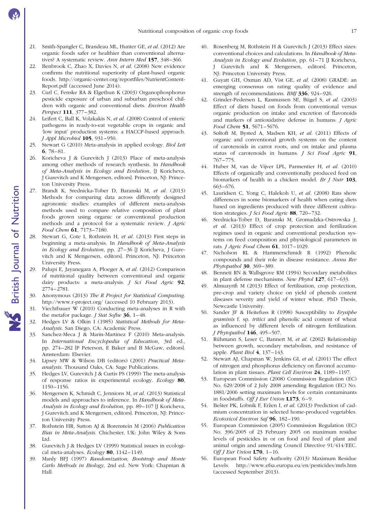- 21. Smith-Spangler C, Brandeau ML, Hunter GE, et al. (2012) Are organic foods safer or healthier than conventional alternatives? A systematic review. Ann Intern Med 157, 348–366.
- 22. Benbrook C, Zhao X, Davies N, et al. (2008) New evidence confirms the nutritional superiority of plant-based organic foods. http://organic-center.org/reportfiles/NutrientContent-Report.pdf (accessed June 2014).
- 23. Curl C, Fenske RA & Elgethun K (2003) Organophosphorus pesticide exposure of urban and suburban preschool children with organic and conventional diets. Environ Health Perspect 111, 377–382.
- 24. Leifert C, Ball K, Volakakis N, et al. (2008) Control of enteric pathogens in ready-to-eat vegetable crops in organic and 'low input' production systems: a HACCP-based approach. J Appl Microbiol 105, 931–950.
- 25. Stewart G (2010) Meta-analysis in applied ecology. Biol Lett 6, 78–81.
- 26. Koricheva J & Gurevitch J (2013) Place of meta-analysis among other methods of research synthesis. In Handbook of Meta-Analysis in Ecology and Evolution, [J Koricheva, J Gurevitch and K Mengersen, editors]. Princeton, NJ: Princeton University Press.
- 27. Brandt K, Srednicka-Tober D, Baranski M, et al. (2013) Methods for comparing data across differently designed agronomic studies: examples of different meta-analysis methods used to compare relative composition of plant foods grown using organic or conventional production methods and a protocol for a systematic review. J Agric Food Chem 61, 7173–7180.
- 28. Stewart G, Cote I, Rothstein H, et al. (2013) First steps in beginning a meta-analysis. In Handbook of Meta-Analysis in Ecology and Evolution, pp. 27–36 [J Koricheva, J Gurevitch and K Mengersen, editors]. Princeton, NJ: Princeton University Press.
- 29. Palupi E, Jayanegara A, Ploeger A, et al. (2012) Comparison of nutritional quality between conventional and organic dairy products: a meta-analysis. J Sci Food Agric 92, 2774–2781.
- 30. Anonymous (2013) The R Project for Statistical Computing. http://www.r-project.org/ (accessed 10 February 2013).
- 31. Viechtbauer W (2010) Conducting meta-analyses in R with the metafor package. *J Stat Softw* 36, 1–48.
- 32. Hedges LV & Olkin I (1985) Statistical Methods for Meta-Analysis. San Diego, CA: Academic Press.
- 33. Sanchez-Meca J & Marin-Martinez F (2010) Meta-analysis. In International Encyclopedia of Education, 3rd ed., pp. 274–282 [P Peterson, E Baker and B McGaw, editors]. Amsterdam: Elsevier.
- 34. Lipsey MW & Wilson DB (editors) (2001) Practical Metaanalysis. Thousand Oaks, CA: Sage Publications.
- 35. Hedges LV, Gurevitch J & Curtis PS (1999) The meta-analysis of response ratios in experimental ecology. Ecology 80, 1150–1156.
- 36. Mengersen K, Schmidt C, Jennions M, et al. (2013) Statistical models and approaches to inference. In Handbook of Meta-Analysis in Ecology and Evolution, pp. 89–107 [J Koricheva, J Gurevitch and K Mengersen, editors]. Princeton, NJ: Princeton University Press.
- 37. Rothstein HR, Sutton AJ & Borenstein M (2006) Publication Bias in Meta-Analysis. Chichester, UK: John Wiley & Sons Ltd.
- 38. Gurevitch J & Hedges LV (1999) Statistical issues in ecological meta-analyses.  $Ecology$  80, 1142-1149.
- 39. Manly BFJ (1997) Randomization, Bootstrap and Monte Carlo Methods in Biology, 2nd ed. New York: Chapman & Hall.
- 40. Rosenberg M, Rothstein H & Gurevitch J (2013) Effect sizes: conventional choices and calculations. In Handbook of Meta-Analysis in Ecology and Evolution, pp. 61–71 [J Koricheva, J Gurevitch and K Mengersen, editors]. Princeton, NJ: Princeton University Press.
- 41. Guyatt GH, Oxman AD, Vist GE, et al. (2008) GRADE: an emerging consensus on rating quality of evidence and strength of recommendations. BMJ 336, 924–926.
- 42. Grinder-Pedersen L, Rasmussen SE, Bügel S, et al. (2003) Effect of diets based on foods from conventional versus organic production on intake and excretion of flavonoids and markers of antioxidative defense in humans. J Agric Food Chem 51, 5671-5676.
- 43. Søltoft M, Bysted A, Madsen KH, et al. (2011) Effects of organic and conventional growth systems on the content of carotenoids in carrot roots, and on intake and plasma status of carotenoids in humans. *J Sci Food Agric* 91, 767–775.
- 44. Huber M, van de Vijver LPL, Parmentier H, et al. (2010) Effects of organically and conventionally produced feed on biomarkers of health in a chicken model. Br J Nutr 103, 663–676.
- 45. Lauridsen C, Yong C, Halekoh U, et al. (2008) Rats show differences in some biomarkers of health when eating diets based on ingredients produced with three different cultivation strategies. J Sci Food Agric 88, 720-732.
- 46. Srednicka-Tober D, Baranski M, Gromadzka-Ostrowska J, et al. (2013) Effect of crop protection and fertilization regimes used in organic and conventional production systems on feed composition and physiological parameters in rats. *J Agric Food Chem*  $61$ , 1017-1029.
- 47. Nicholson RL & Hammerschmidt R (1992) Phenolic compounds and their role in disease resistance. Annu Rev Phytopathol 30, 369-389.
- 48. Bennett RN & Wallsgrove RM (1994) Secondary metabolites in plant defense mechanisms. New Phytol 127, 617–633.
- 49. Almuayrifi M (2013) Effect of fertilisation, crop protection, pre-crop and variety choice on yield of phenols content diseases severity and yield of winter wheat. PhD Thesis, Newcastle University.
- 50. Sander JF & Heitefuss R (1998) Susceptibility to Erysiphe graminis f. sp. tritici and phenolic acid content of wheat as influenced by different levels of nitrogen fertilization. J Phytopathol 146, 495–507.
- 51. Rühmann S, Leser C, Bannert M, et al. (2002) Relationship between growth, secondary metabolism, and resistance of apple. Plant Biol 4, 137–143.
- 52. Stewart AJ, Chapman W, Jenkins GI, et al. (2001) The effect of nitrogen and phosphorus deficiency on flavonol accumulation in plant tissues. Plant Cell Environ 24, 1189–1197.
- 53. European Commission (2008) Commission Regulation (EC) No. 629/2008 of 2 July 2008 amending Regulation (EC) No. 1881/2006 setting maximum levels for certain contaminants in foodstuffs. Off J Eur Union L173, 6-9.
- 54. Bešter PK, Lobnik F, Eržen I, et al. (2013) Prediction of cadmium concentration in selected home-produced vegetables. Ecotoxicol Environ Saf 96, 182–190.
- 55. European Commission (2005) Commission Regulation (EC) No. 396/2005 of 23 February 2005 on maximum residue levels of pesticides in or on food and feed of plant and animal origin and amending Council Directive 91/414/EEC. Off J Eur Union  $L70$ , 1-16.
- 56. European Food Safety Authority (2013) Maximum Residue Levels. http://www.efsa.europa.eu/en/pesticides/mrls.htm (accessed September 2013).